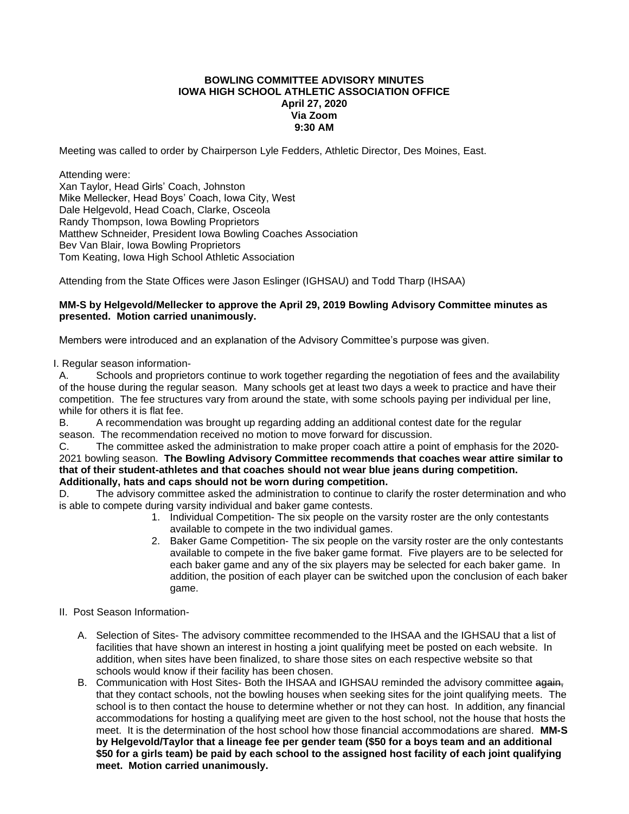## **BOWLING COMMITTEE ADVISORY MINUTES IOWA HIGH SCHOOL ATHLETIC ASSOCIATION OFFICE April 27, 2020 Via Zoom 9:30 AM**

Meeting was called to order by Chairperson Lyle Fedders, Athletic Director, Des Moines, East.

Attending were:

Xan Taylor, Head Girls' Coach, Johnston Mike Mellecker, Head Boys' Coach, Iowa City, West Dale Helgevold, Head Coach, Clarke, Osceola Randy Thompson, Iowa Bowling Proprietors Matthew Schneider, President Iowa Bowling Coaches Association Bev Van Blair, Iowa Bowling Proprietors Tom Keating, Iowa High School Athletic Association

Attending from the State Offices were Jason Eslinger (IGHSAU) and Todd Tharp (IHSAA)

## **MM-S by Helgevold/Mellecker to approve the April 29, 2019 Bowling Advisory Committee minutes as presented. Motion carried unanimously.**

Members were introduced and an explanation of the Advisory Committee's purpose was given.

I. Regular season information-

A. Schools and proprietors continue to work together regarding the negotiation of fees and the availability of the house during the regular season. Many schools get at least two days a week to practice and have their competition. The fee structures vary from around the state, with some schools paying per individual per line, while for others it is flat fee.

B. A recommendation was brought up regarding adding an additional contest date for the regular season. The recommendation received no motion to move forward for discussion.

C. The committee asked the administration to make proper coach attire a point of emphasis for the 2020- 2021 bowling season. **The Bowling Advisory Committee recommends that coaches wear attire similar to that of their student-athletes and that coaches should not wear blue jeans during competition. Additionally, hats and caps should not be worn during competition.**

D. The advisory committee asked the administration to continue to clarify the roster determination and who is able to compete during varsity individual and baker game contests.

- 1. Individual Competition- The six people on the varsity roster are the only contestants available to compete in the two individual games.
- 2. Baker Game Competition- The six people on the varsity roster are the only contestants available to compete in the five baker game format. Five players are to be selected for each baker game and any of the six players may be selected for each baker game. In addition, the position of each player can be switched upon the conclusion of each baker game.
- II. Post Season Information-
	- A. Selection of Sites- The advisory committee recommended to the IHSAA and the IGHSAU that a list of facilities that have shown an interest in hosting a joint qualifying meet be posted on each website. In addition, when sites have been finalized, to share those sites on each respective website so that schools would know if their facility has been chosen.
	- B. Communication with Host Sites- Both the IHSAA and IGHSAU reminded the advisory committee again, that they contact schools, not the bowling houses when seeking sites for the joint qualifying meets. The school is to then contact the house to determine whether or not they can host. In addition, any financial accommodations for hosting a qualifying meet are given to the host school, not the house that hosts the meet. It is the determination of the host school how those financial accommodations are shared. **MM-S by Helgevold/Taylor that a lineage fee per gender team (\$50 for a boys team and an additional \$50 for a girls team) be paid by each school to the assigned host facility of each joint qualifying meet. Motion carried unanimously.**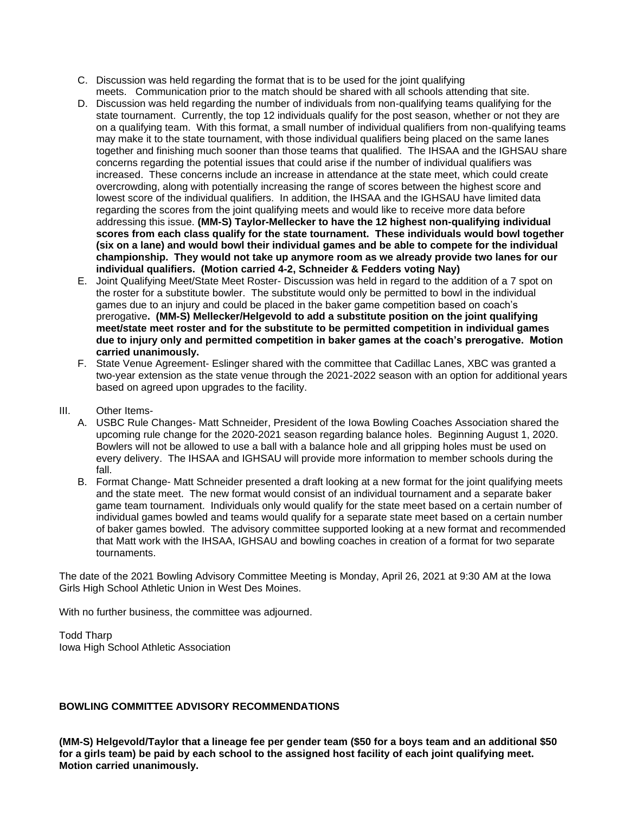- C. Discussion was held regarding the format that is to be used for the joint qualifying meets. Communication prior to the match should be shared with all schools attending that site.
- D. Discussion was held regarding the number of individuals from non-qualifying teams qualifying for the state tournament. Currently, the top 12 individuals qualify for the post season, whether or not they are on a qualifying team. With this format, a small number of individual qualifiers from non-qualifying teams may make it to the state tournament, with those individual qualifiers being placed on the same lanes together and finishing much sooner than those teams that qualified. The IHSAA and the IGHSAU share concerns regarding the potential issues that could arise if the number of individual qualifiers was increased. These concerns include an increase in attendance at the state meet, which could create overcrowding, along with potentially increasing the range of scores between the highest score and lowest score of the individual qualifiers. In addition, the IHSAA and the IGHSAU have limited data regarding the scores from the joint qualifying meets and would like to receive more data before addressing this issue. **(MM-S) Taylor-Mellecker to have the 12 highest non-qualifying individual scores from each class qualify for the state tournament. These individuals would bowl together (six on a lane) and would bowl their individual games and be able to compete for the individual championship. They would not take up anymore room as we already provide two lanes for our individual qualifiers. (Motion carried 4-2, Schneider & Fedders voting Nay)**
- E. Joint Qualifying Meet/State Meet Roster- Discussion was held in regard to the addition of a 7 spot on the roster for a substitute bowler. The substitute would only be permitted to bowl in the individual games due to an injury and could be placed in the baker game competition based on coach's prerogative**. (MM-S) Mellecker/Helgevold to add a substitute position on the joint qualifying meet/state meet roster and for the substitute to be permitted competition in individual games due to injury only and permitted competition in baker games at the coach's prerogative. Motion carried unanimously.**
- F. State Venue Agreement- Eslinger shared with the committee that Cadillac Lanes, XBC was granted a two-year extension as the state venue through the 2021-2022 season with an option for additional years based on agreed upon upgrades to the facility.
- III. Other Items-
	- A. USBC Rule Changes- Matt Schneider, President of the Iowa Bowling Coaches Association shared the upcoming rule change for the 2020-2021 season regarding balance holes. Beginning August 1, 2020. Bowlers will not be allowed to use a ball with a balance hole and all gripping holes must be used on every delivery. The IHSAA and IGHSAU will provide more information to member schools during the fall.
	- B. Format Change- Matt Schneider presented a draft looking at a new format for the joint qualifying meets and the state meet. The new format would consist of an individual tournament and a separate baker game team tournament. Individuals only would qualify for the state meet based on a certain number of individual games bowled and teams would qualify for a separate state meet based on a certain number of baker games bowled. The advisory committee supported looking at a new format and recommended that Matt work with the IHSAA, IGHSAU and bowling coaches in creation of a format for two separate tournaments.

The date of the 2021 Bowling Advisory Committee Meeting is Monday, April 26, 2021 at 9:30 AM at the Iowa Girls High School Athletic Union in West Des Moines.

With no further business, the committee was adjourned.

Todd Tharp Iowa High School Athletic Association

## **BOWLING COMMITTEE ADVISORY RECOMMENDATIONS**

**(MM-S) Helgevold/Taylor that a lineage fee per gender team (\$50 for a boys team and an additional \$50 for a girls team) be paid by each school to the assigned host facility of each joint qualifying meet. Motion carried unanimously.**